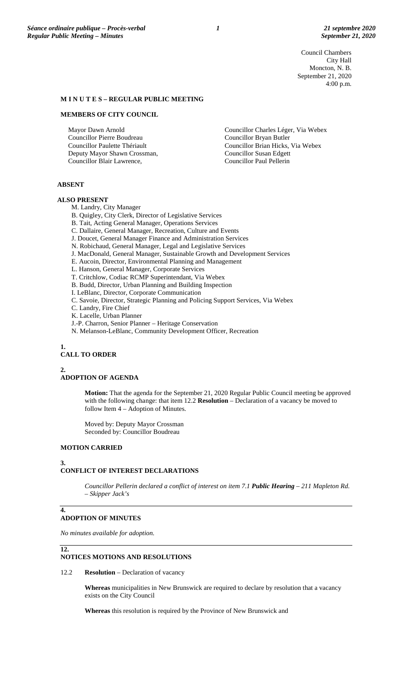Council Chambers City Hall Moncton, N. B. September 21, 2020 4:00 p.m.

#### **M I N U T E S – REGULAR PUBLIC MEETING**

#### **MEMBERS OF CITY COUNCIL**

Mayor Dawn Arnold Councillor Pierre Boudreau Councillor Paulette Thériault Deputy Mayor Shawn Crossman, Councillor Blair Lawrence,

Councillor Charles Léger, Via Webex Councillor Bryan Butler Councillor Brian Hicks, Via Webex Councillor Susan Edgett Councillor Paul Pellerin

# **ABSENT**

#### **ALSO PRESENT**

M. Landry, City Manager

- B. Quigley, City Clerk, Director of Legislative Services
- B. Tait, Acting General Manager, Operations Services
- C. Dallaire, General Manager, Recreation, Culture and Events
- J. Doucet, General Manager Finance and Administration Services
- N. Robichaud, General Manager, Legal and Legislative Services
- J. MacDonald, General Manager, Sustainable Growth and Development Services
- E. Aucoin, Director, Environmental Planning and Management
- L. Hanson, General Manager, Corporate Services
- T. Critchlow, Codiac RCMP Superintendant, Via Webex
- B. Budd, Director, Urban Planning and Building Inspection
- I. LeBlanc, Director, Corporate Communication
- C. Savoie, Director, Strategic Planning and Policing Support Services, Via Webex
- C. Landry, Fire Chief
- K. Lacelle, Urban Planner
- J.-P. Charron, Senior Planner Heritage Conservation
- N. Melanson-LeBlanc, Community Development Officer, Recreation

**1.**

# **CALL TO ORDER**

**2.**

# **ADOPTION OF AGENDA**

**Motion:** That the agenda for the September 21, 2020 Regular Public Council meeting be approved with the following change: that item 12.2 **Resolution** – Declaration of a vacancy be moved to follow Item 4 – Adoption of Minutes.

Moved by: Deputy Mayor Crossman Seconded by: Councillor Boudreau

## **MOTION CARRIED**

#### **3.**

## **CONFLICT OF INTEREST DECLARATIONS**

*Councillor Pellerin declared a conflict of interest on item 7.1 Public Hearing – 211 Mapleton Rd. – Skipper Jack's*

### **ADOPTION OF MINUTES**

*No minutes available for adoption.*

#### **12.**

**4.**

# **NOTICES MOTIONS AND RESOLUTIONS**

12.2 **Resolution** – Declaration of vacancy

**Whereas** municipalities in New Brunswick are required to declare by resolution that a vacancy exists on the City Council

**Whereas** this resolution is required by the Province of New Brunswick and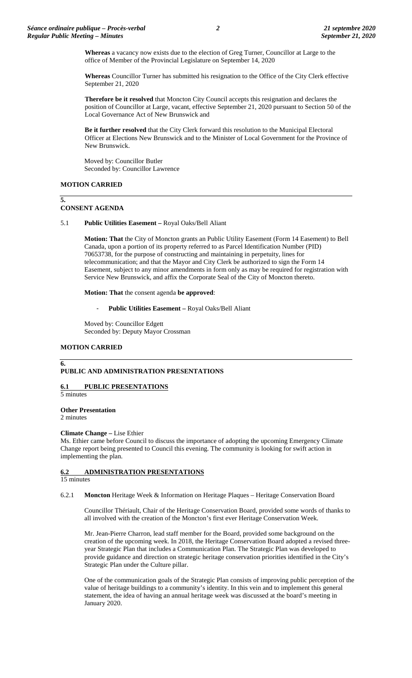**Whereas** a vacancy now exists due to the election of Greg Turner, Councillor at Large to the office of Member of the Provincial Legislature on September 14, 2020

**Whereas** Councillor Turner has submitted his resignation to the Office of the City Clerk effective September 21, 2020

**Therefore be it resolved** that Moncton City Council accepts this resignation and declares the position of Councillor at Large, vacant, effective September 21, 2020 pursuant to Section 50 of the Local Governance Act of New Brunswick and

**Be it further resolved** that the City Clerk forward this resolution to the Municipal Electoral Officer at Elections New Brunswick and to the Minister of Local Government for the Province of New Brunswick.

Moved by: Councillor Butler Seconded by: Councillor Lawrence

# **MOTION CARRIED**

**5.**

## **CONSENT AGENDA**

### 5.1 **Public Utilities Easement –** Royal Oaks/Bell Aliant

**Motion: That** the City of Moncton grants an Public Utility Easement (Form 14 Easement) to Bell Canada, upon a portion of its property referred to as Parcel Identification Number (PID) 70653738, for the purpose of constructing and maintaining in perpetuity, lines for telecommunication; and that the Mayor and City Clerk be authorized to sign the Form 14 Easement, subject to any minor amendments in form only as may be required for registration with Service New Brunswick, and affix the Corporate Seal of the City of Moncton thereto.

**Motion: That** the consent agenda **be approved**:

- **Public Utilities Easement –** Royal Oaks/Bell Aliant

Moved by: Councillor Edgett Seconded by: Deputy Mayor Crossman

### **MOTION CARRIED**

# **PUBLIC AND ADMINISTRATION PRESENTATIONS**

**6.1 PUBLIC PRESENTATIONS**

5 minutes

**6.**

**Other Presentation**

2 minutes

### **Climate Change –** Lise Ethier

Ms. Ethier came before Council to discuss the importance of adopting the upcoming Emergency Climate Change report being presented to Council this evening. The community is looking for swift action in implementing the plan.

# **6.2 ADMINISTRATION PRESENTATIONS**

# 15 minutes

6.2.1 **Moncton** Heritage Week & Information on Heritage Plaques – Heritage Conservation Board

Councillor Thériault, Chair of the Heritage Conservation Board, provided some words of thanks to all involved with the creation of the Moncton's first ever Heritage Conservation Week.

Mr. Jean-Pierre Charron, lead staff member for the Board, provided some background on the creation of the upcoming week. In 2018, the Heritage Conservation Board adopted a revised threeyear Strategic Plan that includes a Communication Plan. The Strategic Plan was developed to provide guidance and direction on strategic heritage conservation priorities identified in the City's Strategic Plan under the Culture pillar.

One of the communication goals of the Strategic Plan consists of improving public perception of the value of heritage buildings to a community's identity. In this vein and to implement this general statement, the idea of having an annual heritage week was discussed at the board's meeting in January 2020.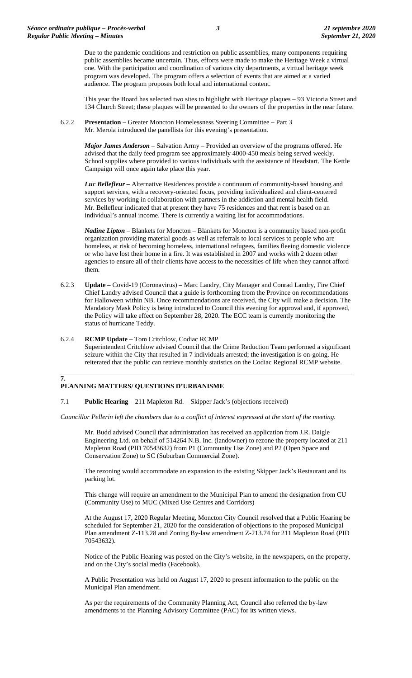Due to the pandemic conditions and restriction on public assemblies, many components requiring public assemblies became uncertain. Thus, efforts were made to make the Heritage Week a virtual one. With the participation and coordination of various city departments, a virtual heritage week program was developed. The program offers a selection of events that are aimed at a varied audience. The program proposes both local and international content.

This year the Board has selected two sites to highlight with Heritage plaques – 93 Victoria Street and 134 Church Street; these plaques will be presented to the owners of the properties in the near future.

6.2.2 **Presentation** – Greater Moncton Homelessness Steering Committee – Part 3 Mr. Merola introduced the panellists for this evening's presentation.

> *Major James Anderson* – Salvation Army – Provided an overview of the programs offered. He advised that the daily feed program see approximately 4000-450 meals being served weekly. School supplies where provided to various individuals with the assistance of Headstart. The Kettle Campaign will once again take place this year.

*Luc Bellefleur –* Alternative Residences provide a continuum of community-based housing and support services, with a recovery-oriented focus, providing individualized and client-centered services by working in collaboration with partners in the addiction and mental health field. Mr. Bellefleur indicated that at present they have 75 residences and that rent is based on an individual's annual income. There is currently a waiting list for accommodations.

*Nadine Lipton* – Blankets for Moncton – Blankets for Moncton is a community based non-profit organization providing material goods as well as referrals to local services to people who are homeless, at risk of becoming homeless, international refugees, families fleeing domestic violence or who have lost their home in a fire. It was established in 2007 and works with 2 dozen other agencies to ensure all of their clients have access to the necessities of life when they cannot afford them.

- 6.2.3 **Update** Covid-19 (Coronavirus) Marc Landry, City Manager and Conrad Landry, Fire Chief Chief Landry advised Council that a guide is forthcoming from the Province on recommendations for Halloween within NB. Once recommendations are received, the City will make a decision. The Mandatory Mask Policy is being introduced to Council this evening for approval and, if approved, the Policy will take effect on September 28, 2020. The ECC team is currently monitoring the status of hurricane Teddy.
- 6.2.4 **RCMP Update**  Tom Critchlow, Codiac RCMP Superintendent Critchlow advised Council that the Crime Reduction Team performed a significant seizure within the City that resulted in 7 individuals arrested; the investigation is on-going. He reiterated that the public can retrieve monthly statistics on the Codiac Regional RCMP website.

# **PLANNING MATTERS/ QUESTIONS D'URBANISME**

**7.**

7.1 **Public Hearing** – 211 Mapleton Rd. – Skipper Jack's (objections received)

*Councillor Pellerin left the chambers due to a conflict of interest expressed at the start of the meeting.*

Mr. Budd advised Council that administration has received an application from J.R. Daigle Engineering Ltd. on behalf of 514264 N.B. Inc. (landowner) to rezone the property located at 211 Mapleton Road (PID 70543632) from P1 (Community Use Zone) and P2 (Open Space and Conservation Zone) to SC (Suburban Commercial Zone).

The rezoning would accommodate an expansion to the existing Skipper Jack's Restaurant and its parking lot.

This change will require an amendment to the Municipal Plan to amend the designation from CU (Community Use) to MUC (Mixed Use Centres and Corridors)

At the August 17, 2020 Regular Meeting, Moncton City Council resolved that a Public Hearing be scheduled for September 21, 2020 for the consideration of objections to the proposed Municipal Plan amendment Z-113.28 and Zoning By-law amendment Z-213.74 for 211 Mapleton Road (PID 70543632).

Notice of the Public Hearing was posted on the City's website, in the newspapers, on the property, and on the City's social media (Facebook).

A Public Presentation was held on August 17, 2020 to present information to the public on the Municipal Plan amendment.

As per the requirements of the Community Planning Act, Council also referred the by-law amendments to the Planning Advisory Committee (PAC) for its written views.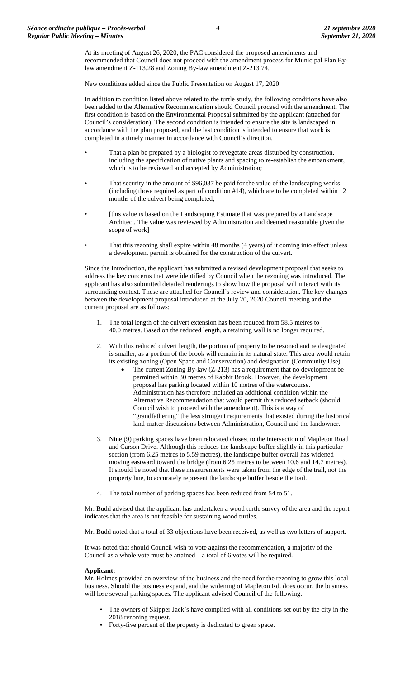At its meeting of August 26, 2020, the PAC considered the proposed amendments and recommended that Council does not proceed with the amendment process for Municipal Plan Bylaw amendment Z-113.28 and Zoning By-law amendment Z-213.74.

New conditions added since the Public Presentation on August 17, 2020

In addition to condition listed above related to the turtle study, the following conditions have also been added to the Alternative Recommendation should Council proceed with the amendment. The first condition is based on the Environmental Proposal submitted by the applicant (attached for Council's consideration). The second condition is intended to ensure the site is landscaped in accordance with the plan proposed, and the last condition is intended to ensure that work is completed in a timely manner in accordance with Council's direction.

- That a plan be prepared by a biologist to revegetate areas disturbed by construction, including the specification of native plants and spacing to re-establish the embankment, which is to be reviewed and accepted by Administration;
- That security in the amount of \$96,037 be paid for the value of the landscaping works (including those required as part of condition #14), which are to be completed within 12 months of the culvert being completed;
- [this value is based on the Landscaping Estimate that was prepared by a Landscape Architect. The value was reviewed by Administration and deemed reasonable given the scope of work]
- That this rezoning shall expire within 48 months (4 years) of it coming into effect unless a development permit is obtained for the construction of the culvert.

Since the Introduction, the applicant has submitted a revised development proposal that seeks to address the key concerns that were identified by Council when the rezoning was introduced. The applicant has also submitted detailed renderings to show how the proposal will interact with its surrounding context. These are attached for Council's review and consideration. The key changes between the development proposal introduced at the July 20, 2020 Council meeting and the current proposal are as follows:

- 1. The total length of the culvert extension has been reduced from 58.5 metres to 40.0 metres. Based on the reduced length, a retaining wall is no longer required.
- 2. With this reduced culvert length, the portion of property to be rezoned and re designated is smaller, as a portion of the brook will remain in its natural state. This area would retain its existing zoning (Open Space and Conservation) and designation (Community Use).
	- The current Zoning By-law (Z-213) has a requirement that no development be permitted within 30 metres of Rabbit Brook. However, the development proposal has parking located within 10 metres of the watercourse. Administration has therefore included an additional condition within the Alternative Recommendation that would permit this reduced setback (should Council wish to proceed with the amendment). This is a way of "grandfathering" the less stringent requirements that existed during the historical land matter discussions between Administration, Council and the landowner.
- 3. Nine (9) parking spaces have been relocated closest to the intersection of Mapleton Road and Carson Drive. Although this reduces the landscape buffer slightly in this particular section (from 6.25 metres to 5.59 metres), the landscape buffer overall has widened moving eastward toward the bridge (from 6.25 metres to between 10.6 and 14.7 metres). It should be noted that these measurements were taken from the edge of the trail, not the property line, to accurately represent the landscape buffer beside the trail.
- 4. The total number of parking spaces has been reduced from 54 to 51.

Mr. Budd advised that the applicant has undertaken a wood turtle survey of the area and the report indicates that the area is not feasible for sustaining wood turtles.

Mr. Budd noted that a total of 33 objections have been received, as well as two letters of support.

It was noted that should Council wish to vote against the recommendation, a majority of the Council as a whole vote must be attained – a total of 6 votes will be required.

### **Applicant:**

Mr. Holmes provided an overview of the business and the need for the rezoning to grow this local business. Should the business expand, and the widening of Mapleton Rd. does occur, the business will lose several parking spaces. The applicant advised Council of the following:

- The owners of Skipper Jack's have complied with all conditions set out by the city in the 2018 rezoning request.
- Forty-five percent of the property is dedicated to green space.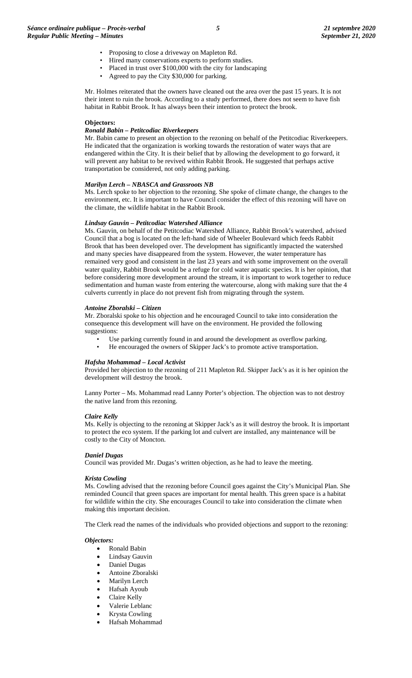- Proposing to close a driveway on Mapleton Rd.
- Hired many conservations experts to perform studies.
- Placed in trust over \$100,000 with the city for landscaping
- Agreed to pay the City \$30,000 for parking.

Mr. Holmes reiterated that the owners have cleaned out the area over the past 15 years. It is not their intent to ruin the brook. According to a study performed, there does not seem to have fish habitat in Rabbit Brook. It has always been their intention to protect the brook.

#### **Objectors:**

#### *Ronald Babin – Petitcodiac Riverkeepers*

Mr. Babin came to present an objection to the rezoning on behalf of the Petitcodiac Riverkeepers. He indicated that the organization is working towards the restoration of water ways that are endangered within the City. It is their belief that by allowing the development to go forward, it will prevent any habitat to be revived within Rabbit Brook. He suggested that perhaps active transportation be considered, not only adding parking.

#### *Marilyn Lerch – NBASCA and Grassroots NB*

Ms. Lerch spoke to her objection to the rezoning. She spoke of climate change, the changes to the environment, etc. It is important to have Council consider the effect of this rezoning will have on the climate, the wildlife habitat in the Rabbit Brook.

#### *Lindsay Gauvin – Petitcodiac Watershed Alliance*

Ms. Gauvin, on behalf of the Petitcodiac Watershed Alliance, Rabbit Brook's watershed, advised Council that a bog is located on the left-hand side of Wheeler Boulevard which feeds Rabbit Brook that has been developed over. The development has significantly impacted the watershed and many species have disappeared from the system. However, the water temperature has remained very good and consistent in the last 23 years and with some improvement on the overall water quality, Rabbit Brook would be a refuge for cold water aquatic species. It is her opinion, that before considering more development around the stream, it is important to work together to reduce sedimentation and human waste from entering the watercourse, along with making sure that the 4 culverts currently in place do not prevent fish from migrating through the system.

#### *Antoine Zboralski – Citizen*

Mr. Zboralski spoke to his objection and he encouraged Council to take into consideration the consequence this development will have on the environment. He provided the following suggestions:

- Use parking currently found in and around the development as overflow parking.
- He encouraged the owners of Skipper Jack's to promote active transportation.

#### *Hafsha Mohammad – Local Activist*

Provided her objection to the rezoning of 211 Mapleton Rd. Skipper Jack's as it is her opinion the development will destroy the brook.

Lanny Porter – Ms. Mohammad read Lanny Porter's objection. The objection was to not destroy the native land from this rezoning.

#### *Claire Kelly*

Ms. Kelly is objecting to the rezoning at Skipper Jack's as it will destroy the brook. It is important to protect the eco system. If the parking lot and culvert are installed, any maintenance will be costly to the City of Moncton.

#### *Daniel Dugas*

Council was provided Mr. Dugas's written objection, as he had to leave the meeting.

#### *Krista Cowling*

Ms. Cowling advised that the rezoning before Council goes against the City's Municipal Plan. She reminded Council that green spaces are important for mental health. This green space is a habitat for wildlife within the city. She encourages Council to take into consideration the climate when making this important decision.

The Clerk read the names of the individuals who provided objections and support to the rezoning:

#### *Objectors:*

- Ronald Babin
- Lindsay Gauvin
- Daniel Dugas
- Antoine Zboralski
- Marilyn Lerch
- Hafsah Ayoub
- Claire Kelly
- Valerie Leblanc
- Krysta Cowling
- Hafsah Mohammad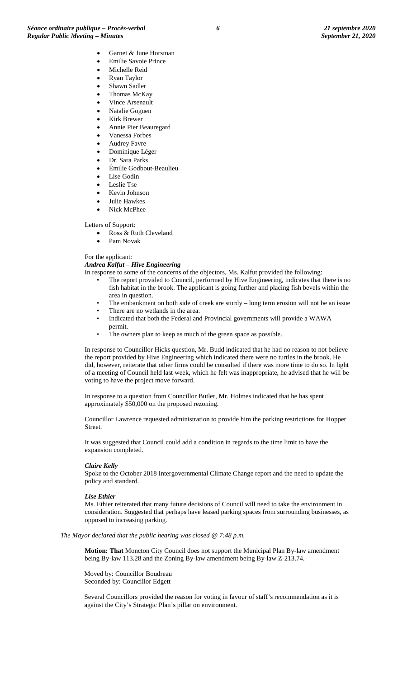- Emilie Savoie Prince Michelle Reid
- Ryan Taylor
- Shawn Sadler
- Thomas McKay
- Vince Arsenault
- Natalie Goguen
- Kirk Brewer
- Annie Pier Beauregard
- Vanessa Forbes
- Audrey Favre
- Dominique Léger
- Dr. Sara Parks
- Émilie Godbout-Beaulieu
- Lise Godin
- Leslie Tse
- Kevin Johnson • Julie Hawkes
- Nick McPhee

Letters of Support:

- Ross & Ruth Cleveland
- Pam Novak

#### For the applicant:

#### *Andrea Kalfut – Hive Engineering*

- In response to some of the concerns of the objectors, Ms. Kalfut provided the following:
	- The report provided to Council, performed by Hive Engineering, indicates that there is no fish habitat in the brook. The applicant is going further and placing fish bevels within the area in question.
	- The embankment on both side of creek are sturdy long term erosion will not be an issue
	- There are no wetlands in the area.
	- Indicated that both the Federal and Provincial governments will provide a WAWA permit.
	- The owners plan to keep as much of the green space as possible.

In response to Councillor Hicks question, Mr. Budd indicated that he had no reason to not believe the report provided by Hive Engineering which indicated there were no turtles in the brook. He did, however, reiterate that other firms could be consulted if there was more time to do so. In light of a meeting of Council held last week, which he felt was inappropriate, he advised that he will be voting to have the project move forward.

In response to a question from Councillor Butler, Mr. Holmes indicated that he has spent approximately \$50,000 on the proposed rezoning.

Councillor Lawrence requested administration to provide him the parking restrictions for Hopper Street.

It was suggested that Council could add a condition in regards to the time limit to have the expansion completed.

#### *Claire Kelly*

Spoke to the October 2018 Intergovernmental Climate Change report and the need to update the policy and standard.

#### *Lise Ethier*

Ms. Ethier reiterated that many future decisions of Council will need to take the environment in consideration. Suggested that perhaps have leased parking spaces from surrounding businesses, as opposed to increasing parking.

#### *The Mayor declared that the public hearing was closed @ 7:48 p.m.*

**Motion: That** Moncton City Council does not support the Municipal Plan By-law amendment being By-law 113.28 and the Zoning By-law amendment being By-law Z-213.74.

Moved by: Councillor Boudreau Seconded by: Councillor Edgett

Several Councillors provided the reason for voting in favour of staff's recommendation as it is against the City's Strategic Plan's pillar on environment.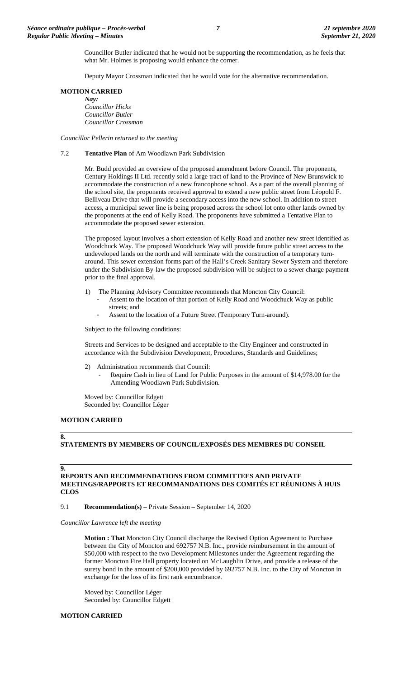Councillor Butler indicated that he would not be supporting the recommendation, as he feels that what Mr. Holmes is proposing would enhance the corner.

Deputy Mayor Crossman indicated that he would vote for the alternative recommendation.

### **MOTION CARRIED**

*Nay: Councillor Hicks Councillor Butler Councillor Crossman*

*Councillor Pellerin returned to the meeting*

## 7.2 **Tentative Plan** of Am Woodlawn Park Subdivision

Mr. Budd provided an overview of the proposed amendment before Council. The proponents, Century Holdings II Ltd. recently sold a large tract of land to the Province of New Brunswick to accommodate the construction of a new francophone school. As a part of the overall planning of the school site, the proponents received approval to extend a new public street from Léopold F. Belliveau Drive that will provide a secondary access into the new school. In addition to street access, a municipal sewer line is being proposed across the school lot onto other lands owned by the proponents at the end of Kelly Road. The proponents have submitted a Tentative Plan to accommodate the proposed sewer extension.

The proposed layout involves a short extension of Kelly Road and another new street identified as Woodchuck Way. The proposed Woodchuck Way will provide future public street access to the undeveloped lands on the north and will terminate with the construction of a temporary turnaround. This sewer extension forms part of the Hall's Creek Sanitary Sewer System and therefore under the Subdivision By-law the proposed subdivision will be subject to a sewer charge payment prior to the final approval.

- 1) The Planning Advisory Committee recommends that Moncton City Council:
	- Assent to the location of that portion of Kelly Road and Woodchuck Way as public streets; and
	- Assent to the location of a Future Street (Temporary Turn-around).

Subject to the following conditions:

Streets and Services to be designed and acceptable to the City Engineer and constructed in accordance with the Subdivision Development, Procedures, Standards and Guidelines;

- 2) Administration recommends that Council:
	- Require Cash in lieu of Land for Public Purposes in the amount of \$14,978.00 for the Amending Woodlawn Park Subdivision.

Moved by: Councillor Edgett Seconded by: Councillor Léger

#### **MOTION CARRIED**

#### **8.**

# **STATEMENTS BY MEMBERS OF COUNCIL/EXPOSÉS DES MEMBRES DU CONSEIL**

# **9.**

**REPORTS AND RECOMMENDATIONS FROM COMMITTEES AND PRIVATE MEETINGS/RAPPORTS ET RECOMMANDATIONS DES COMITÉS ET RÉUNIONS À HUIS CLOS**

9.1 **Recommendation(s)** – Private Session – September 14, 2020

*Councillor Lawrence left the meeting*

**Motion : That** Moncton City Council discharge the Revised Option Agreement to Purchase between the City of Moncton and 692757 N.B. Inc., provide reimbursement in the amount of \$50,000 with respect to the two Development Milestones under the Agreement regarding the former Moncton Fire Hall property located on McLaughlin Drive, and provide a release of the surety bond in the amount of \$200,000 provided by 692757 N.B. Inc. to the City of Moncton in exchange for the loss of its first rank encumbrance.

Moved by: Councillor Léger Seconded by: Councillor Edgett

# **MOTION CARRIED**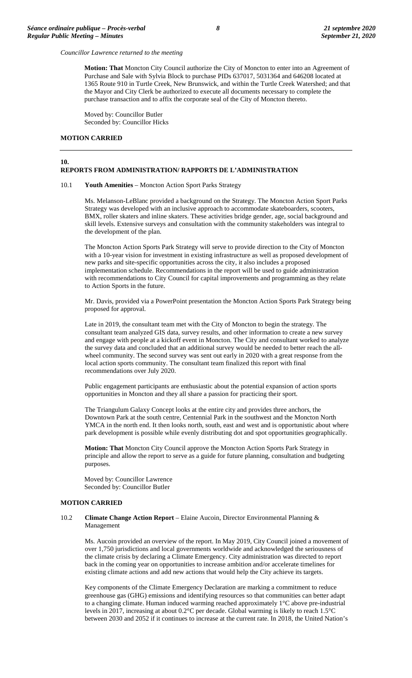*Councillor Lawrence returned to the meeting*

**Motion: That** Moncton City Council authorize the City of Moncton to enter into an Agreement of Purchase and Sale with Sylvia Block to purchase PIDs 637017, 5031364 and 646208 located at 1365 Route 910 in Turtle Creek, New Brunswick, and within the Turtle Creek Watershed; and that the Mayor and City Clerk be authorized to execute all documents necessary to complete the purchase transaction and to affix the corporate seal of the City of Moncton thereto.

Moved by: Councillor Butler Seconded by: Councillor Hicks

# **MOTION CARRIED**

#### **10. REPORTS FROM ADMINISTRATION/ RAPPORTS DE L'ADMINISTRATION**

#### 10.1 **Youth Amenities** – Moncton Action Sport Parks Strategy

Ms. Melanson-LeBlanc provided a background on the Strategy. The Moncton Action Sport Parks Strategy was developed with an inclusive approach to accommodate skateboarders, scooters, BMX, roller skaters and inline skaters. These activities bridge gender, age, social background and skill levels. Extensive surveys and consultation with the community stakeholders was integral to the development of the plan.

The Moncton Action Sports Park Strategy will serve to provide direction to the City of Moncton with a 10-year vision for investment in existing infrastructure as well as proposed development of new parks and site-specific opportunities across the city, it also includes a proposed implementation schedule. Recommendations in the report will be used to guide administration with recommendations to City Council for capital improvements and programming as they relate to Action Sports in the future.

Mr. Davis, provided via a PowerPoint presentation the Moncton Action Sports Park Strategy being proposed for approval.

Late in 2019, the consultant team met with the City of Moncton to begin the strategy. The consultant team analyzed GIS data, survey results, and other information to create a new survey and engage with people at a kickoff event in Moncton. The City and consultant worked to analyze the survey data and concluded that an additional survey would be needed to better reach the allwheel community. The second survey was sent out early in 2020 with a great response from the local action sports community. The consultant team finalized this report with final recommendations over July 2020.

Public engagement participants are enthusiastic about the potential expansion of action sports opportunities in Moncton and they all share a passion for practicing their sport.

The Triangulum Galaxy Concept looks at the entire city and provides three anchors, the Downtown Park at the south centre, Centennial Park in the southwest and the Moncton North YMCA in the north end. It then looks north, south, east and west and is opportunistic about where park development is possible while evenly distributing dot and spot opportunities geographically.

**Motion: That** Moncton City Council approve the Moncton Action Sports Park Strategy in principle and allow the report to serve as a guide for future planning, consultation and budgeting purposes.

Moved by: Councillor Lawrence Seconded by: Councillor Butler

#### **MOTION CARRIED**

#### 10.2 **Climate Change Action Report** – Elaine Aucoin, Director Environmental Planning & Management

Ms. Aucoin provided an overview of the report. In May 2019, City Council joined a movement of over 1,750 jurisdictions and local governments worldwide and acknowledged the seriousness of the climate crisis by declaring a Climate Emergency. City administration was directed to report back in the coming year on opportunities to increase ambition and/or accelerate timelines for existing climate actions and add new actions that would help the City achieve its targets.

Key components of the Climate Emergency Declaration are marking a commitment to reduce greenhouse gas (GHG) emissions and identifying resources so that communities can better adapt to a changing climate. Human induced warming reached approximately 1°C above pre-industrial levels in 2017, increasing at about 0.2°C per decade. Global warming is likely to reach 1.5°C between 2030 and 2052 if it continues to increase at the current rate. In 2018, the United Nation's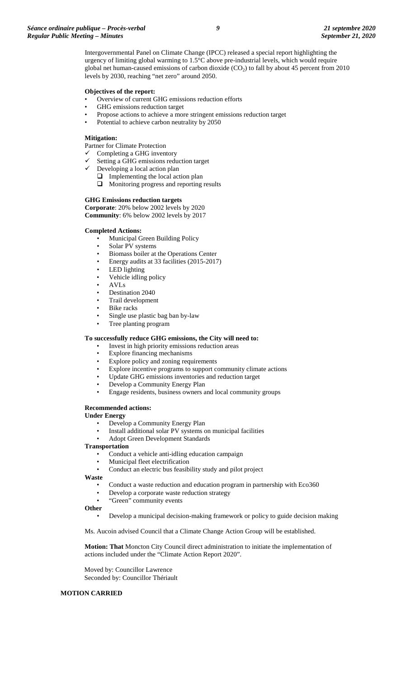Intergovernmental Panel on Climate Change (IPCC) released a special report highlighting the urgency of limiting global warming to 1.5°C above pre-industrial levels, which would require global net human-caused emissions of carbon dioxide  $(CO<sub>2</sub>)$  to fall by about 45 percent from 2010 levels by 2030, reaching "net zero" around 2050.

#### **Objectives of the report:**

- Overview of current GHG emissions reduction efforts
- GHG emissions reduction target
- Propose actions to achieve a more stringent emissions reduction target
- Potential to achieve carbon neutrality by 2050

#### **Mitigation:**

Partner for Climate Protection

- Completing a GHG inventory
- $\checkmark$  Setting a GHG emissions reduction target
- Developing a local action plan
	- $\Box$  Implementing the local action plan
	- $\Box$  Monitoring progress and reporting results

#### **GHG Emissions reduction targets**

**Corporate**: 20% below 2002 levels by 2020 **Community**: 6% below 2002 levels by 2017

#### **Completed Actions:**

- Municipal Green Building Policy
- Solar PV systems
- Biomass boiler at the Operations Center
- Energy audits at 33 facilities (2015-2017)
- LED lighting
- Vehicle idling policy
- AVLs
- Destination 2040
- Trail development
- **Bike** racks
- Single use plastic bag ban by-law
- Tree planting program

## **To successfully reduce GHG emissions, the City will need to:**

- Invest in high priority emissions reduction areas
- Explore financing mechanisms
- Explore policy and zoning requirements
- Explore incentive programs to support community climate actions
- Update GHG emissions inventories and reduction target
- Develop a Community Energy Plan
- Engage residents, business owners and local community groups

### **Recommended actions:**

**Under Energy**

- Develop a Community Energy Plan
- Install additional solar PV systems on municipal facilities
- Adopt Green Development Standards

#### **Transportation**

- Conduct a vehicle anti-idling education campaign
- Municipal fleet electrification
- Conduct an electric bus feasibility study and pilot project

**Waste**

- Conduct a waste reduction and education program in partnership with Eco360
- Develop a corporate waste reduction strategy
- "Green" community events
- **Other**
	- Develop a municipal decision-making framework or policy to guide decision making

Ms. Aucoin advised Council that a Climate Change Action Group will be established.

**Motion: That** Moncton City Council direct administration to initiate the implementation of actions included under the "Climate Action Report 2020".

Moved by: Councillor Lawrence Seconded by: Councillor Thériault

#### **MOTION CARRIED**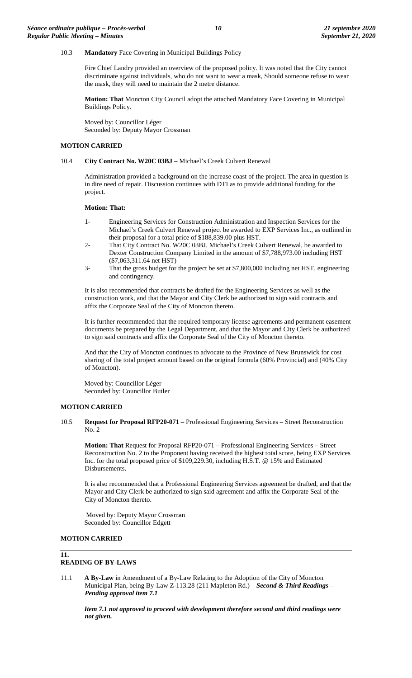## 10.3 **Mandatory** Face Covering in Municipal Buildings Policy

Fire Chief Landry provided an overview of the proposed policy. It was noted that the City cannot discriminate against individuals, who do not want to wear a mask, Should someone refuse to wear the mask, they will need to maintain the 2 metre distance.

**Motion: That** Moncton City Council adopt the attached Mandatory Face Covering in Municipal Buildings Policy.

Moved by: Councillor Léger Seconded by: Deputy Mayor Crossman

#### **MOTION CARRIED**

# 10.4 **City Contract No. W20C 03BJ** – Michael's Creek Culvert Renewal

Administration provided a background on the increase coast of the project. The area in question is in dire need of repair. Discussion continues with DTI as to provide additional funding for the project.

#### **Motion: That:**

- 1- Engineering Services for Construction Administration and Inspection Services for the Michael's Creek Culvert Renewal project be awarded to EXP Services Inc., as outlined in their proposal for a total price of \$188,839.00 plus HST.
- 2- That City Contract No. W20C 03BJ, Michael's Creek Culvert Renewal, be awarded to Dexter Construction Company Limited in the amount of \$7,788,973.00 including HST (\$7,063,311.64 net HST)
- 3- That the gross budget for the project be set at \$7,800,000 including net HST, engineering and contingency.

It is also recommended that contracts be drafted for the Engineering Services as well as the construction work, and that the Mayor and City Clerk be authorized to sign said contracts and affix the Corporate Seal of the City of Moncton thereto.

It is further recommended that the required temporary license agreements and permanent easement documents be prepared by the Legal Department, and that the Mayor and City Clerk be authorized to sign said contracts and affix the Corporate Seal of the City of Moncton thereto.

And that the City of Moncton continues to advocate to the Province of New Brunswick for cost sharing of the total project amount based on the original formula (60% Provincial) and (40% City of Moncton).

Moved by: Councillor Léger Seconded by: Councillor Butler

#### **MOTION CARRIED**

10.5 **Request for Proposal RFP20-071** – Professional Engineering Services – Street Reconstruction No. 2

**Motion: That** Request for Proposal RFP20-071 – Professional Engineering Services – Street Reconstruction No. 2 to the Proponent having received the highest total score, being EXP Services Inc. for the total proposed price of \$109,229.30, including H.S.T. @ 15% and Estimated Disbursements.

It is also recommended that a Professional Engineering Services agreement be drafted, and that the Mayor and City Clerk be authorized to sign said agreement and affix the Corporate Seal of the City of Moncton thereto.

Moved by: Deputy Mayor Crossman Seconded by: Councillor Edgett

# **MOTION CARRIED**

# **11.**

# **READING OF BY-LAWS**

11.1 **A By-Law** in Amendment of a By-Law Relating to the Adoption of the City of Moncton Municipal Plan, being By-Law Z-113.28 (211 Mapleton Rd.) – *Second & Third Readings – Pending approval item 7.1*

*Item 7.1 not approved to proceed with development therefore second and third readings were not given.*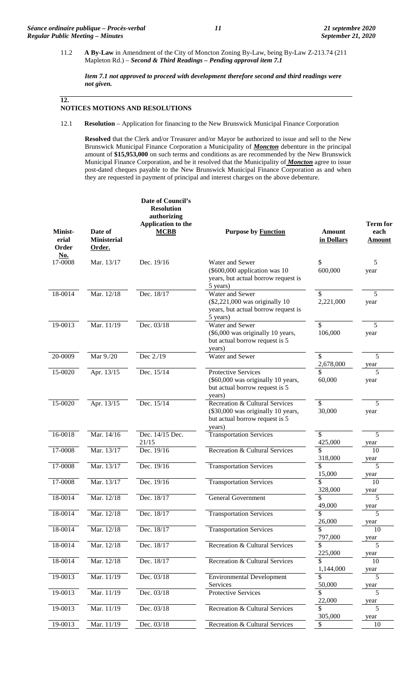11.2 **A By-Law** in Amendment of the City of Moncton Zoning By-Law, being By-Law Z-213.74 (211 Mapleton Rd.) – *Second & Third Readings – Pending approval item 7.1*

*Item 7.1 not approved to proceed with development therefore second and third readings were not given.*

**12.**

# **NOTICES MOTIONS AND RESOLUTIONS**

12.1 **Resolution** – Application for financing to the New Brunswick Municipal Finance Corporation

**Resolved** that the Clerk and/or Treasurer and/or Mayor be authorized to issue and sell to the New Brunswick Municipal Finance Corporation a Municipality of *Moncton* debenture in the principal amount of **\$15,953,000** on such terms and conditions as are recommended by the New Brunswick Municipal Finance Corporation, and be it resolved that the Municipality of *Moncton* agree to issue post-dated cheques payable to the New Brunswick Municipal Finance Corporation as and when they are requested in payment of principal and interest charges on the above debenture.

| Minist-<br>erial<br>Order | Date of<br><b>Ministerial</b><br>Order. | Date of Council's<br><b>Resolution</b><br>authorizing<br><b>Application to the</b><br><b>MCBB</b> | <b>Purpose by Function</b>                                                                                       | <b>Amount</b><br>in Dollars | <b>Term for</b><br>each<br>Amount |
|---------------------------|-----------------------------------------|---------------------------------------------------------------------------------------------------|------------------------------------------------------------------------------------------------------------------|-----------------------------|-----------------------------------|
| <b>No.</b><br>17-0008     | Mar. 13/17                              | Dec. 19/16                                                                                        | Water and Sewer<br>(\$600,000 application was 10<br>years, but actual borrow request is<br>5 years)              | \$<br>600,000               | 5<br>year                         |
| 18-0014                   | Mar. 12/18                              | Dec. 18/17                                                                                        | Water and Sewer<br>$(\$2,221,000$ was originally 10<br>years, but actual borrow request is<br>5 years)           | \$<br>2,221,000             | 5<br>year                         |
| 19-0013                   | Mar. 11/19                              | Dec. 03/18                                                                                        | Water and Sewer<br>(\$6,000 was originally 10 years,<br>but actual borrow request is 5<br>years)                 | \$<br>106,000               | 5<br>year                         |
| 20-0009                   | Mar 9./20                               | Dec 2./19                                                                                         | Water and Sewer                                                                                                  | \$<br>2,678,000             | 5<br>year                         |
| 15-0020                   | Apr. 13/15                              | Dec. 15/14                                                                                        | <b>Protective Services</b><br>(\$60,000 was originally 10 years,<br>but actual borrow request is 5<br>years)     | \$<br>60,000                | 5<br>year                         |
| 15-0020                   | Apr. 13/15                              | Dec. 15/14                                                                                        | Recreation & Cultural Services<br>(\$30,000 was originally 10 years,<br>but actual borrow request is 5<br>years) | \$<br>30,000                | 5<br>year                         |
| 16-0018                   | Mar. 14/16                              | Dec. 14/15 Dec.<br>21/15                                                                          | <b>Transportation Services</b>                                                                                   | \$<br>425,000               | 5<br>year                         |
| 17-0008                   | Mar. 13/17                              | Dec. 19/16                                                                                        | Recreation & Cultural Services                                                                                   | \$<br>318,000               | 10<br>year                        |
| 17-0008                   | Mar. 13/17                              | Dec. $19/16$                                                                                      | <b>Transportation Services</b>                                                                                   | \$<br>15,000                | 5<br>year                         |
| 17-0008                   | Mar. 13/17                              | Dec. 19/16                                                                                        | <b>Transportation Services</b>                                                                                   | \$<br>328,000               | 10<br>year                        |
| 18-0014                   | Mar. 12/18                              | Dec. 18/17                                                                                        | General Government                                                                                               | 49,000                      | year                              |
| 18-0014                   | Mar. 12/18                              | Dec. 18/17                                                                                        | <b>Transportation Services</b>                                                                                   | \$<br>26,000                | 5<br>year                         |
| 18-0014                   | Mar. 12/18                              | Dec. 18/17                                                                                        | <b>Transportation Services</b>                                                                                   | \$<br>797,000               | 10                                |
| 18-0014                   | Mar. 12/18                              | Dec. 18/17                                                                                        | Recreation & Cultural Services                                                                                   | \$.<br>225,000              | year<br>5                         |
| 18-0014                   | Mar. 12/18                              | Dec. 18/17                                                                                        | Recreation & Cultural Services                                                                                   | \$.<br>1,144,000            | year<br>10                        |
| 19-0013                   | Mar. 11/19                              | Dec. 03/18                                                                                        | <b>Environmental Development</b><br>Services                                                                     | \$<br>50,000                | year<br>5<br>year                 |
| 19-0013                   | Mar. 11/19                              | Dec. 03/18                                                                                        | Protective Services                                                                                              | \$<br>22,000                | 5                                 |
| 19-0013                   | Mar. 11/19                              | Dec. 03/18                                                                                        | Recreation & Cultural Services                                                                                   | \$<br>305,000               | year<br>5                         |
| 19-0013                   | Mar. 11/19                              | Dec. 03/18                                                                                        | Recreation & Cultural Services                                                                                   | \$                          | year<br>10                        |